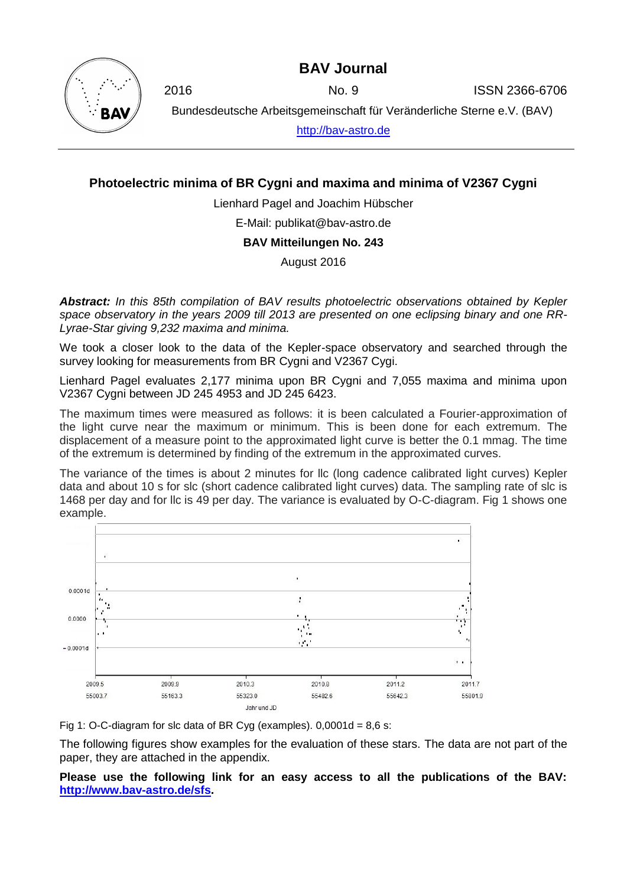## **BAV Journal**



2016 No. 9 ISSN 2366-6706

Bundesdeutsche Arbeitsgemeinschaft für Veränderliche Sterne e.V. (BAV)

[http://bav-astro.de](http://bav-astro.de/)

## **Photoelectric minima of BR Cygni and maxima and minima of V2367 Cygni**

Lienhard Pagel and Joachim Hübscher

E-Mail: publikat@bav-astro.de

**BAV Mitteilungen No. 243**

August 2016

*Abstract: In this 85th compilation of BAV results photoelectric observations obtained by Kepler space observatory in the years 2009 till 2013 are presented on one eclipsing binary and one RR-Lyrae-Star giving 9,232 maxima and minima.*

We took a closer look to the data of the Kepler-space observatory and searched through the survey looking for measurements from BR Cygni and V2367 Cygi.

Lienhard Pagel evaluates 2,177 minima upon BR Cygni and 7,055 maxima and minima upon V2367 Cygni between JD 245 4953 and JD 245 6423.

The maximum times were measured as follows: it is been calculated a Fourier-approximation of the light curve near the maximum or minimum. This is been done for each extremum. The displacement of a measure point to the approximated light curve is better the 0.1 mmag. The time of the extremum is determined by finding of the extremum in the approximated curves.

The variance of the times is about 2 minutes for llc (long cadence calibrated light curves) Kepler data and about 10 s for slc (short cadence calibrated light curves) data. The sampling rate of slc is 1468 per day and for llc is 49 per day. The variance is evaluated by O-C-diagram. Fig 1 shows one example.





The following figures show examples for the evaluation of these stars. The data are not part of the paper, they are attached in the appendix.

**Please use the following link for an easy access to all the publications of the BAV: [http://www.bav-astro.de/sfs.](http://www.bav-astro.de/sfs)**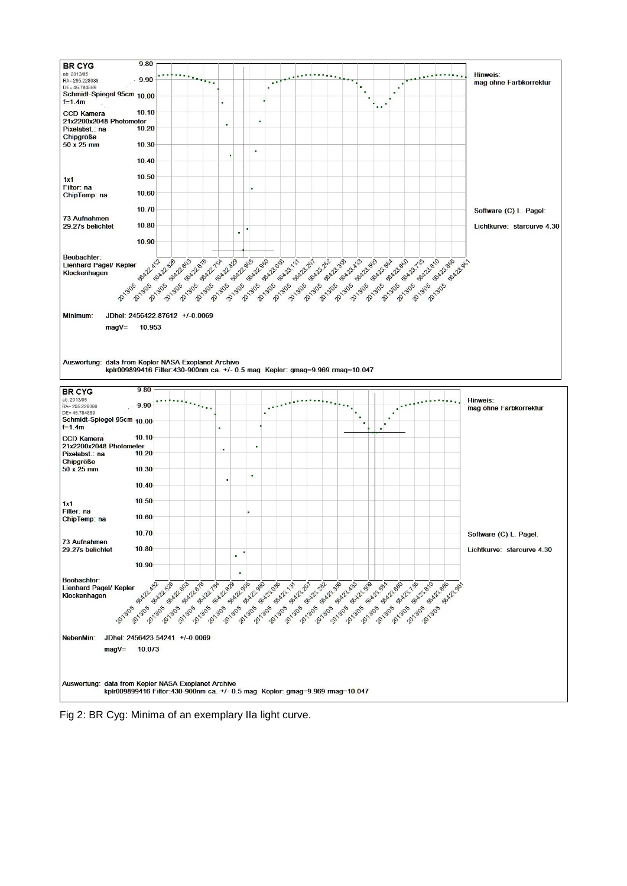

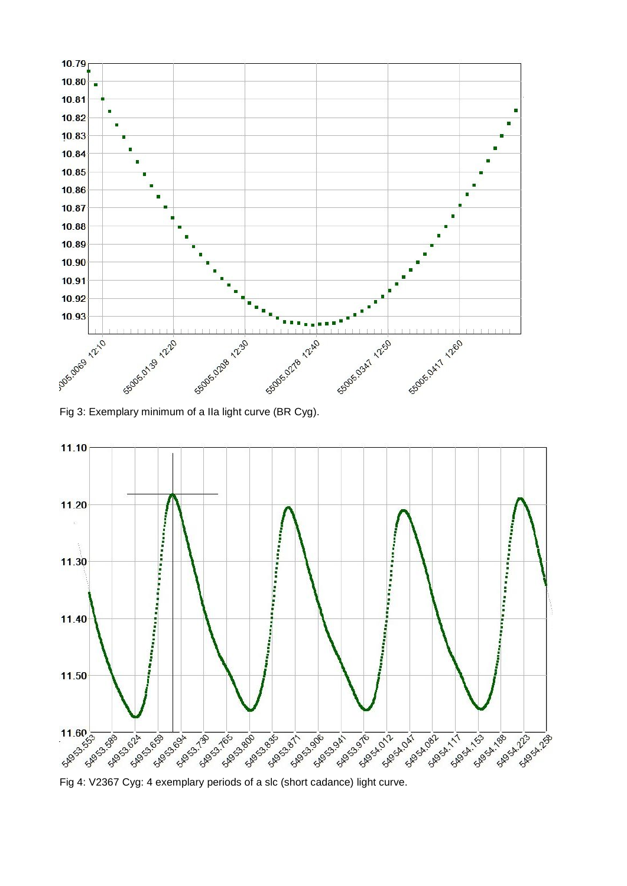

Fig 3: Exemplary minimum of a IIa light curve (BR Cyg).



Fig 4: V2367 Cyg: 4 exemplary periods of a slc (short cadance) light curve.